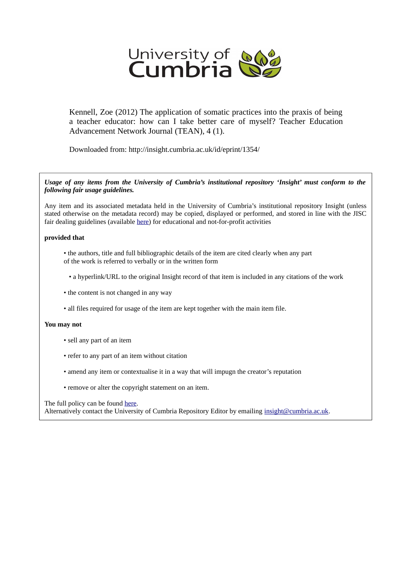

Kennell, Zoe (2012) The application of somatic practices into the praxis of being a teacher educator: how can I take better care of myself? Teacher Education Advancement Network Journal (TEAN), 4 (1).

Downloaded from: http://insight.cumbria.ac.uk/id/eprint/1354/

*Usage of any items from the University of Cumbria's institutional repository 'Insight' must conform to the following fair usage guidelines.*

Any item and its associated metadata held in the University of Cumbria's institutional repository Insight (unless stated otherwise on the metadata record) may be copied, displayed or performed, and stored in line with the JISC fair dealing guidelines (available [here\)](http://www.ukoln.ac.uk/services/elib/papers/pa/fair/) for educational and not-for-profit activities

#### **provided that**

- the authors, title and full bibliographic details of the item are cited clearly when any part of the work is referred to verbally or in the written form
	- a hyperlink/URL to the original Insight record of that item is included in any citations of the work
- the content is not changed in any way
- all files required for usage of the item are kept together with the main item file.

#### **You may not**

- sell any part of an item
- refer to any part of an item without citation
- amend any item or contextualise it in a way that will impugn the creator's reputation
- remove or alter the copyright statement on an item.

#### The full policy can be found [here.](http://insight.cumbria.ac.uk/legal.html#section5)

Alternatively contact the University of Cumbria Repository Editor by emailing [insight@cumbria.ac.uk.](mailto:insight@cumbria.ac.uk)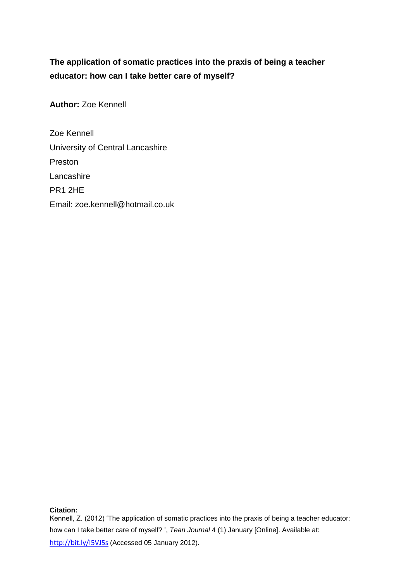# **The application of somatic practices into the praxis of being a teacher educator: how can I take better care of myself?**

**Author:** Zoe Kennell

Zoe Kennell University of Central Lancashire Preston Lancashire PR1 2HE Email: zoe.kennell@hotmail.co.uk

## **Citation:**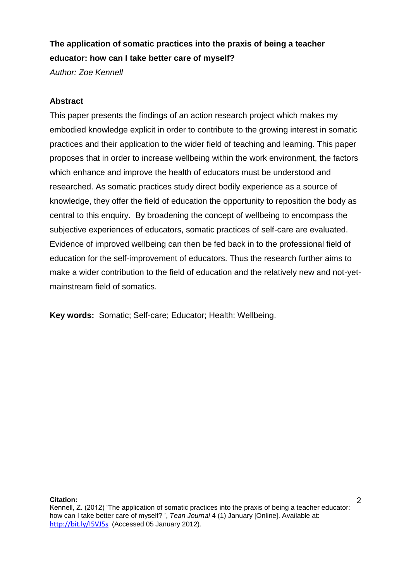# **The application of somatic practices into the praxis of being a teacher educator: how can I take better care of myself?**

*Author: Zoe Kennell*

# **Abstract**

This paper presents the findings of an action research project which makes my embodied knowledge explicit in order to contribute to the growing interest in somatic practices and their application to the wider field of teaching and learning. This paper proposes that in order to increase wellbeing within the work environment, the factors which enhance and improve the health of educators must be understood and researched. As somatic practices study direct bodily experience as a source of knowledge, they offer the field of education the opportunity to reposition the body as central to this enquiry. By broadening the concept of wellbeing to encompass the subjective experiences of educators, somatic practices of self-care are evaluated. Evidence of improved wellbeing can then be fed back in to the professional field of education for the self-improvement of educators. Thus the research further aims to make a wider contribution to the field of education and the relatively new and not-yetmainstream field of somatics.

**Key words:** Somatic; Self-care; Educator; Health: Wellbeing.

#### **Citation:**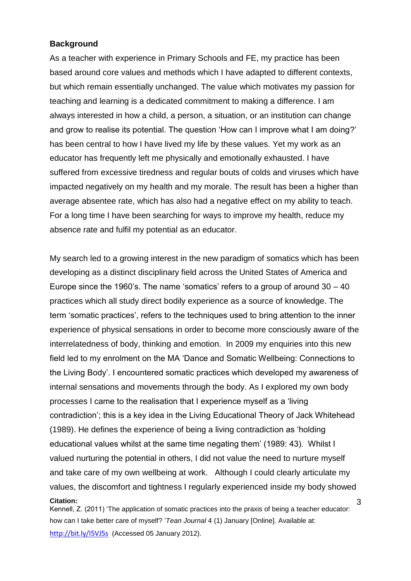## **Background**

As a teacher with experience in Primary Schools and FE, my practice has been based around core values and methods which I have adapted to different contexts, but which remain essentially unchanged. The value which motivates my passion for teaching and learning is a dedicated commitment to making a difference. I am always interested in how a child, a person, a situation, or an institution can change and grow to realise its potential. The question 'How can I improve what I am doing?' has been central to how I have lived my life by these values. Yet my work as an educator has frequently left me physically and emotionally exhausted. I have suffered from excessive tiredness and regular bouts of colds and viruses which have impacted negatively on my health and my morale. The result has been a higher than average absentee rate, which has also had a negative effect on my ability to teach. For a long time I have been searching for ways to improve my health, reduce my absence rate and fulfil my potential as an educator.

**Citation:** My search led to a growing interest in the new paradigm of somatics which has been developing as a distinct disciplinary field across the United States of America and Europe since the 1960's. The name 'somatics' refers to a group of around 30 – 40 practices which all study direct bodily experience as a source of knowledge. The term 'somatic practices', refers to the techniques used to bring attention to the inner experience of physical sensations in order to become more consciously aware of the interrelatedness of body, thinking and emotion. In 2009 my enquiries into this new field led to my enrolment on the MA 'Dance and Somatic Wellbeing: Connections to the Living Body'. I encountered somatic practices which developed my awareness of internal sensations and movements through the body. As I explored my own body processes I came to the realisation that I experience myself as a 'living contradiction'; this is a key idea in the Living Educational Theory of Jack Whitehead (1989). He defines the experience of being a living contradiction as 'holding educational values whilst at the same time negating them' (1989: 43). Whilst I valued nurturing the potential in others, I did not value the need to nurture myself and take care of my own wellbeing at work. Although I could clearly articulate my values, the discomfort and tightness I regularly experienced inside my body showed

Kennell, Z. (2011) 'The application of somatic practices into the praxis of being a teacher educator: how can I take better care of myself? '*Tean Journal* 4 (1) January [Online]. Available at: http://bit.ly/I5VJ5s (Accessed 05 January 2012).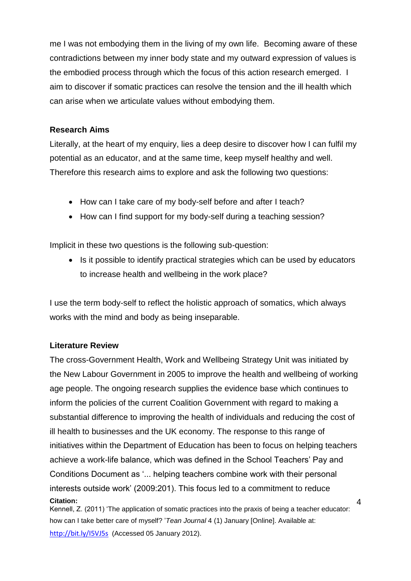me I was not embodying them in the living of my own life. Becoming aware of these contradictions between my inner body state and my outward expression of values is the embodied process through which the focus of this action research emerged. I aim to discover if somatic practices can resolve the tension and the ill health which can arise when we articulate values without embodying them.

# **Research Aims**

Literally, at the heart of my enquiry, lies a deep desire to discover how I can fulfil my potential as an educator, and at the same time, keep myself healthy and well. Therefore this research aims to explore and ask the following two questions:

- How can I take care of my body-self before and after I teach?
- How can I find support for my body-self during a teaching session?

Implicit in these two questions is the following sub-question:

• Is it possible to identify practical strategies which can be used by educators to increase health and wellbeing in the work place?

I use the term body-self to reflect the holistic approach of somatics, which always works with the mind and body as being inseparable.

# **Literature Review**

**Citation:** 4 The cross-Government Health, Work and Wellbeing Strategy Unit was initiated by the New Labour Government in 2005 to improve the health and wellbeing of working age people. The ongoing research supplies the evidence base which continues to inform the policies of the current Coalition Government with regard to making a substantial difference to improving the health of individuals and reducing the cost of ill health to businesses and the UK economy. The response to this range of initiatives within the Department of Education has been to focus on helping teachers achieve a work-life balance, which was defined in the School Teachers' Pay and Conditions Document as '... helping teachers combine work with their personal interests outside work' (2009:201). This focus led to a commitment to reduce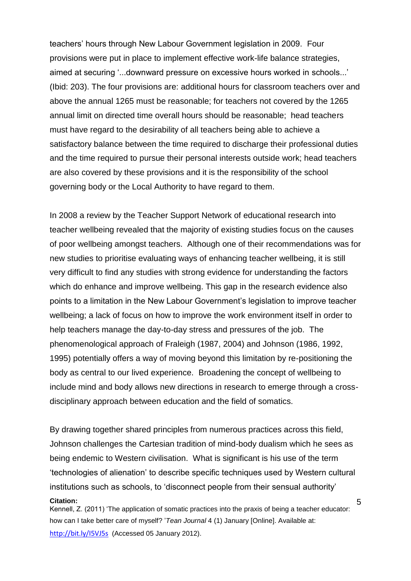teachers' hours through New Labour Government legislation in 2009. Four provisions were put in place to implement effective work-life balance strategies, aimed at securing '...downward pressure on excessive hours worked in schools...' (Ibid: 203). The four provisions are: additional hours for classroom teachers over and above the annual 1265 must be reasonable; for teachers not covered by the 1265 annual limit on directed time overall hours should be reasonable; head teachers must have regard to the desirability of all teachers being able to achieve a satisfactory balance between the time required to discharge their professional duties and the time required to pursue their personal interests outside work; head teachers are also covered by these provisions and it is the responsibility of the school governing body or the Local Authority to have regard to them.

In 2008 a review by the Teacher Support Network of educational research into teacher wellbeing revealed that the majority of existing studies focus on the causes of poor wellbeing amongst teachers. Although one of their recommendations was for new studies to prioritise evaluating ways of enhancing teacher wellbeing, it is still very difficult to find any studies with strong evidence for understanding the factors which do enhance and improve wellbeing. This gap in the research evidence also points to a limitation in the New Labour Government's legislation to improve teacher wellbeing; a lack of focus on how to improve the work environment itself in order to help teachers manage the day-to-day stress and pressures of the job. The phenomenological approach of Fraleigh (1987, 2004) and Johnson (1986, 1992, 1995) potentially offers a way of moving beyond this limitation by re-positioning the body as central to our lived experience. Broadening the concept of wellbeing to include mind and body allows new directions in research to emerge through a crossdisciplinary approach between education and the field of somatics.

**Citation:** By drawing together shared principles from numerous practices across this field, Johnson challenges the Cartesian tradition of mind-body dualism which he sees as being endemic to Western civilisation. What is significant is his use of the term 'technologies of alienation' to describe specific techniques used by Western cultural institutions such as schools, to 'disconnect people from their sensual authority'

Kennell, Z. (2011) 'The application of somatic practices into the praxis of being a teacher educator: how can I take better care of myself? '*Tean Journal* 4 (1) January [Online]. Available at: http://bit.ly/I5VJ5s (Accessed 05 January 2012).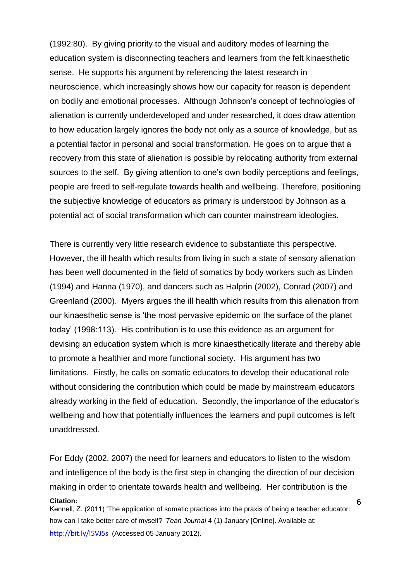(1992:80). By giving priority to the visual and auditory modes of learning the education system is disconnecting teachers and learners from the felt kinaesthetic sense. He supports his argument by referencing the latest research in neuroscience, which increasingly shows how our capacity for reason is dependent on bodily and emotional processes. Although Johnson's concept of technologies of alienation is currently underdeveloped and under researched, it does draw attention to how education largely ignores the body not only as a source of knowledge, but as a potential factor in personal and social transformation. He goes on to argue that a recovery from this state of alienation is possible by relocating authority from external sources to the self. By giving attention to one's own bodily perceptions and feelings, people are freed to self-regulate towards health and wellbeing. Therefore, positioning the subjective knowledge of educators as primary is understood by Johnson as a potential act of social transformation which can counter mainstream ideologies.

There is currently very little research evidence to substantiate this perspective. However, the ill health which results from living in such a state of sensory alienation has been well documented in the field of somatics by body workers such as Linden (1994) and Hanna (1970), and dancers such as Halprin (2002), Conrad (2007) and Greenland (2000). Myers argues the ill health which results from this alienation from our kinaesthetic sense is 'the most pervasive epidemic on the surface of the planet today' (1998:113). His contribution is to use this evidence as an argument for devising an education system which is more kinaesthetically literate and thereby able to promote a healthier and more functional society. His argument has two limitations. Firstly, he calls on somatic educators to develop their educational role without considering the contribution which could be made by mainstream educators already working in the field of education. Secondly, the importance of the educator's wellbeing and how that potentially influences the learners and pupil outcomes is left unaddressed.

**Citation:** For Eddy (2002, 2007) the need for learners and educators to listen to the wisdom and intelligence of the body is the first step in changing the direction of our decision making in order to orientate towards health and wellbeing. Her contribution is the

Kennell, Z. (2011) 'The application of somatic practices into the praxis of being a teacher educator: how can I take better care of myself? '*Tean Journal* 4 (1) January [Online]. Available at: http://bit.ly/I5VJ5s (Accessed 05 January 2012).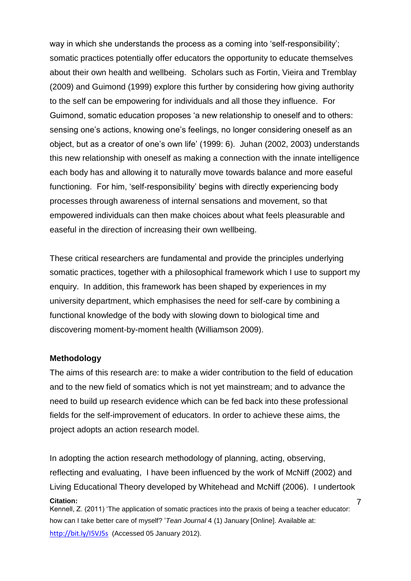way in which she understands the process as a coming into 'self-responsibility'; somatic practices potentially offer educators the opportunity to educate themselves about their own health and wellbeing. Scholars such as Fortin, Vieira and Tremblay (2009) and Guimond (1999) explore this further by considering how giving authority to the self can be empowering for individuals and all those they influence. For Guimond, somatic education proposes 'a new relationship to oneself and to others: sensing one's actions, knowing one's feelings, no longer considering oneself as an object, but as a creator of one's own life' (1999: 6). Juhan (2002, 2003) understands this new relationship with oneself as making a connection with the innate intelligence each body has and allowing it to naturally move towards balance and more easeful functioning. For him, 'self-responsibility' begins with directly experiencing body processes through awareness of internal sensations and movement, so that empowered individuals can then make choices about what feels pleasurable and easeful in the direction of increasing their own wellbeing.

These critical researchers are fundamental and provide the principles underlying somatic practices, together with a philosophical framework which I use to support my enquiry. In addition, this framework has been shaped by experiences in my university department, which emphasises the need for self-care by combining a functional knowledge of the body with slowing down to biological time and discovering moment-by-moment health (Williamson 2009).

#### **Methodology**

The aims of this research are: to make a wider contribution to the field of education and to the new field of somatics which is not yet mainstream; and to advance the need to build up research evidence which can be fed back into these professional fields for the self-improvement of educators. In order to achieve these aims, the project adopts an action research model.

**Citation:** 7 In adopting the action research methodology of planning, acting, observing, reflecting and evaluating, I have been influenced by the work of McNiff (2002) and Living Educational Theory developed by Whitehead and McNiff (2006). I undertook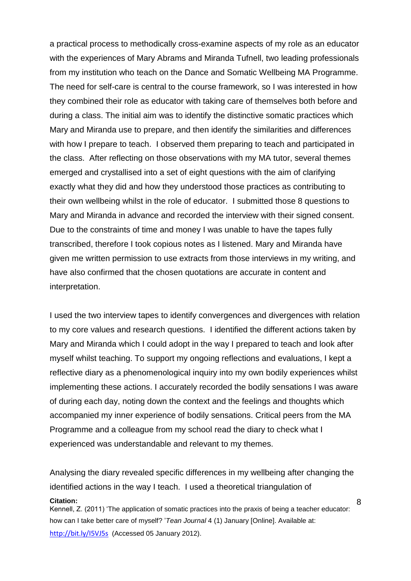a practical process to methodically cross-examine aspects of my role as an educator with the experiences of Mary Abrams and Miranda Tufnell, two leading professionals from my institution who teach on the Dance and Somatic Wellbeing MA Programme. The need for self-care is central to the course framework, so I was interested in how they combined their role as educator with taking care of themselves both before and during a class. The initial aim was to identify the distinctive somatic practices which Mary and Miranda use to prepare, and then identify the similarities and differences with how I prepare to teach. I observed them preparing to teach and participated in the class. After reflecting on those observations with my MA tutor, several themes emerged and crystallised into a set of eight questions with the aim of clarifying exactly what they did and how they understood those practices as contributing to their own wellbeing whilst in the role of educator. I submitted those 8 questions to Mary and Miranda in advance and recorded the interview with their signed consent. Due to the constraints of time and money I was unable to have the tapes fully transcribed, therefore I took copious notes as I listened. Mary and Miranda have given me written permission to use extracts from those interviews in my writing, and have also confirmed that the chosen quotations are accurate in content and interpretation.

I used the two interview tapes to identify convergences and divergences with relation to my core values and research questions. I identified the different actions taken by Mary and Miranda which I could adopt in the way I prepared to teach and look after myself whilst teaching. To support my ongoing reflections and evaluations, I kept a reflective diary as a phenomenological inquiry into my own bodily experiences whilst implementing these actions. I accurately recorded the bodily sensations I was aware of during each day, noting down the context and the feelings and thoughts which accompanied my inner experience of bodily sensations. Critical peers from the MA Programme and a colleague from my school read the diary to check what I experienced was understandable and relevant to my themes.

**Citation:** Kennell, Z. (2011) 'The application of somatic practices into the praxis of being a teacher educator: Analysing the diary revealed specific differences in my wellbeing after changing the identified actions in the way I teach. I used a theoretical triangulation of

how can I take better care of myself? '*Tean Journal* 4 (1) January [Online]. Available at: http://bit.ly/I5VJ5s (Accessed 05 January 2012).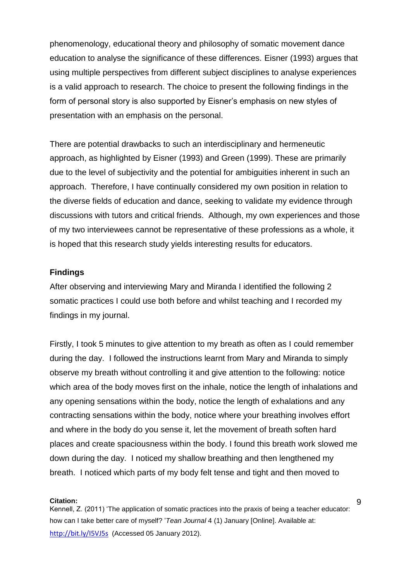phenomenology, educational theory and philosophy of somatic movement dance education to analyse the significance of these differences. Eisner (1993) argues that using multiple perspectives from different subject disciplines to analyse experiences is a valid approach to research. The choice to present the following findings in the form of personal story is also supported by Eisner's emphasis on new styles of presentation with an emphasis on the personal.

There are potential drawbacks to such an interdisciplinary and hermeneutic approach, as highlighted by Eisner (1993) and Green (1999). These are primarily due to the level of subjectivity and the potential for ambiguities inherent in such an approach. Therefore, I have continually considered my own position in relation to the diverse fields of education and dance, seeking to validate my evidence through discussions with tutors and critical friends. Although, my own experiences and those of my two interviewees cannot be representative of these professions as a whole, it is hoped that this research study yields interesting results for educators.

### **Findings**

After observing and interviewing Mary and Miranda I identified the following 2 somatic practices I could use both before and whilst teaching and I recorded my findings in my journal.

Firstly, I took 5 minutes to give attention to my breath as often as I could remember during the day. I followed the instructions learnt from Mary and Miranda to simply observe my breath without controlling it and give attention to the following: notice which area of the body moves first on the inhale, notice the length of inhalations and any opening sensations within the body, notice the length of exhalations and any contracting sensations within the body, notice where your breathing involves effort and where in the body do you sense it, let the movement of breath soften hard places and create spaciousness within the body. I found this breath work slowed me down during the day. I noticed my shallow breathing and then lengthened my breath. I noticed which parts of my body felt tense and tight and then moved to

#### **Citation:**

Kennell, Z. (2011) 'The application of somatic practices into the praxis of being a teacher educator: how can I take better care of myself? '*Tean Journal* 4 (1) January [Online]. Available at: http://bit.ly/I5VJ5s (Accessed 05 January 2012).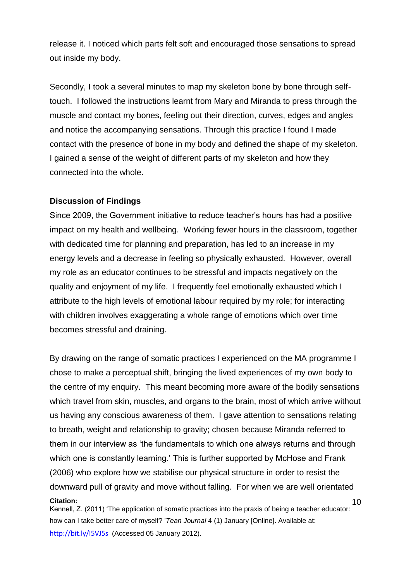release it. I noticed which parts felt soft and encouraged those sensations to spread out inside my body.

Secondly, I took a several minutes to map my skeleton bone by bone through selftouch. I followed the instructions learnt from Mary and Miranda to press through the muscle and contact my bones, feeling out their direction, curves, edges and angles and notice the accompanying sensations. Through this practice I found I made contact with the presence of bone in my body and defined the shape of my skeleton. I gained a sense of the weight of different parts of my skeleton and how they connected into the whole.

## **Discussion of Findings**

Since 2009, the Government initiative to reduce teacher's hours has had a positive impact on my health and wellbeing. Working fewer hours in the classroom, together with dedicated time for planning and preparation, has led to an increase in my energy levels and a decrease in feeling so physically exhausted. However, overall my role as an educator continues to be stressful and impacts negatively on the quality and enjoyment of my life. I frequently feel emotionally exhausted which I attribute to the high levels of emotional labour required by my role; for interacting with children involves exaggerating a whole range of emotions which over time becomes stressful and draining.

**Citation:** 10 By drawing on the range of somatic practices I experienced on the MA programme I chose to make a perceptual shift, bringing the lived experiences of my own body to the centre of my enquiry. This meant becoming more aware of the bodily sensations which travel from skin, muscles, and organs to the brain, most of which arrive without us having any conscious awareness of them. I gave attention to sensations relating to breath, weight and relationship to gravity; chosen because Miranda referred to them in our interview as 'the fundamentals to which one always returns and through which one is constantly learning.' This is further supported by McHose and Frank (2006) who explore how we stabilise our physical structure in order to resist the downward pull of gravity and move without falling. For when we are well orientated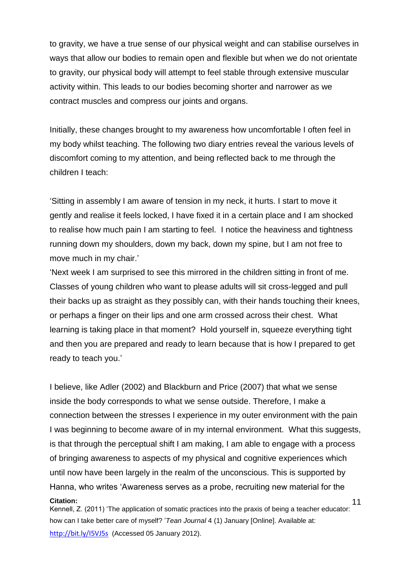to gravity, we have a true sense of our physical weight and can stabilise ourselves in ways that allow our bodies to remain open and flexible but when we do not orientate to gravity, our physical body will attempt to feel stable through extensive muscular activity within. This leads to our bodies becoming shorter and narrower as we contract muscles and compress our joints and organs.

Initially, these changes brought to my awareness how uncomfortable I often feel in my body whilst teaching. The following two diary entries reveal the various levels of discomfort coming to my attention, and being reflected back to me through the children I teach:

'Sitting in assembly I am aware of tension in my neck, it hurts. I start to move it gently and realise it feels locked, I have fixed it in a certain place and I am shocked to realise how much pain I am starting to feel. I notice the heaviness and tightness running down my shoulders, down my back, down my spine, but I am not free to move much in my chair.'

'Next week I am surprised to see this mirrored in the children sitting in front of me. Classes of young children who want to please adults will sit cross-legged and pull their backs up as straight as they possibly can, with their hands touching their knees, or perhaps a finger on their lips and one arm crossed across their chest. What learning is taking place in that moment? Hold yourself in, squeeze everything tight and then you are prepared and ready to learn because that is how I prepared to get ready to teach you.'

**Citation:** 11 I believe, like Adler (2002) and Blackburn and Price (2007) that what we sense inside the body corresponds to what we sense outside. Therefore, I make a connection between the stresses I experience in my outer environment with the pain I was beginning to become aware of in my internal environment. What this suggests, is that through the perceptual shift I am making, I am able to engage with a process of bringing awareness to aspects of my physical and cognitive experiences which until now have been largely in the realm of the unconscious. This is supported by Hanna, who writes 'Awareness serves as a probe, recruiting new material for the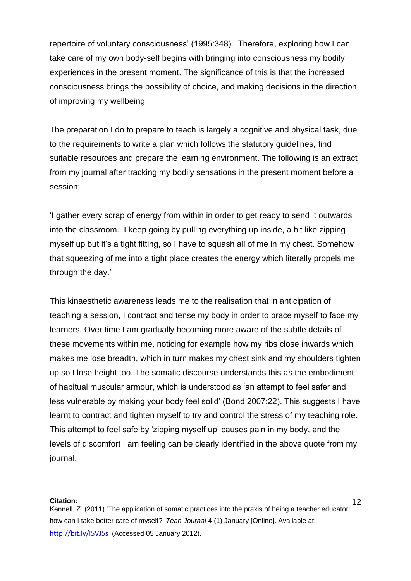repertoire of voluntary consciousness' (1995:348). Therefore, exploring how I can take care of my own body-self begins with bringing into consciousness my bodily experiences in the present moment. The significance of this is that the increased consciousness brings the possibility of choice, and making decisions in the direction of improving my wellbeing.

The preparation I do to prepare to teach is largely a cognitive and physical task, due to the requirements to write a plan which follows the statutory guidelines, find suitable resources and prepare the learning environment. The following is an extract from my journal after tracking my bodily sensations in the present moment before a session:

'I gather every scrap of energy from within in order to get ready to send it outwards into the classroom. I keep going by pulling everything up inside, a bit like zipping myself up but it's a tight fitting, so I have to squash all of me in my chest. Somehow that squeezing of me into a tight place creates the energy which literally propels me through the day.'

This kinaesthetic awareness leads me to the realisation that in anticipation of teaching a session, I contract and tense my body in order to brace myself to face my learners. Over time I am gradually becoming more aware of the subtle details of these movements within me, noticing for example how my ribs close inwards which makes me lose breadth, which in turn makes my chest sink and my shoulders tighten up so I lose height too. The somatic discourse understands this as the embodiment of habitual muscular armour, which is understood as 'an attempt to feel safer and less vulnerable by making your body feel solid' (Bond 2007:22). This suggests I have learnt to contract and tighten myself to try and control the stress of my teaching role. This attempt to feel safe by 'zipping myself up' causes pain in my body, and the levels of discomfort I am feeling can be clearly identified in the above quote from my journal.

#### **Citation:**

Kennell, Z. (2011) 'The application of somatic practices into the praxis of being a teacher educator: how can I take better care of myself? '*Tean Journal* 4 (1) January [Online]. Available at: http://bit.ly/I5VJ5s (Accessed 05 January 2012).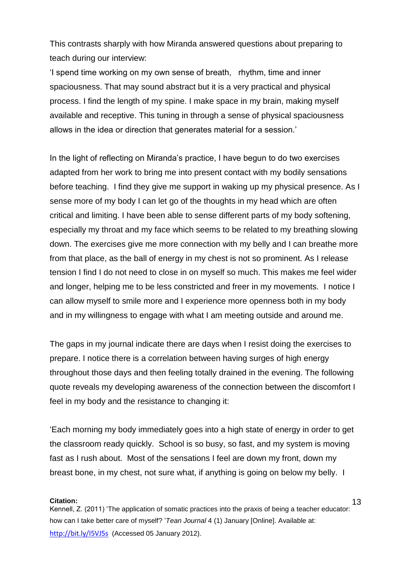This contrasts sharply with how Miranda answered questions about preparing to teach during our interview:

'I spend time working on my own sense of breath, rhythm, time and inner spaciousness. That may sound abstract but it is a very practical and physical process. I find the length of my spine. I make space in my brain, making myself available and receptive. This tuning in through a sense of physical spaciousness allows in the idea or direction that generates material for a session.'

In the light of reflecting on Miranda's practice, I have begun to do two exercises adapted from her work to bring me into present contact with my bodily sensations before teaching. I find they give me support in waking up my physical presence. As I sense more of my body I can let go of the thoughts in my head which are often critical and limiting. I have been able to sense different parts of my body softening, especially my throat and my face which seems to be related to my breathing slowing down. The exercises give me more connection with my belly and I can breathe more from that place, as the ball of energy in my chest is not so prominent. As I release tension I find I do not need to close in on myself so much. This makes me feel wider and longer, helping me to be less constricted and freer in my movements. I notice I can allow myself to smile more and I experience more openness both in my body and in my willingness to engage with what I am meeting outside and around me.

The gaps in my journal indicate there are days when I resist doing the exercises to prepare. I notice there is a correlation between having surges of high energy throughout those days and then feeling totally drained in the evening. The following quote reveals my developing awareness of the connection between the discomfort I feel in my body and the resistance to changing it:

'Each morning my body immediately goes into a high state of energy in order to get the classroom ready quickly. School is so busy, so fast, and my system is moving fast as I rush about. Most of the sensations I feel are down my front, down my breast bone, in my chest, not sure what, if anything is going on below my belly. I

#### **Citation:**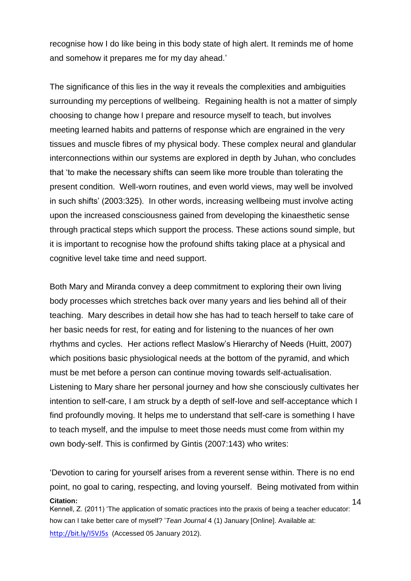recognise how I do like being in this body state of high alert. It reminds me of home and somehow it prepares me for my day ahead.'

The significance of this lies in the way it reveals the complexities and ambiguities surrounding my perceptions of wellbeing. Regaining health is not a matter of simply choosing to change how I prepare and resource myself to teach, but involves meeting learned habits and patterns of response which are engrained in the very tissues and muscle fibres of my physical body. These complex neural and glandular interconnections within our systems are explored in depth by Juhan, who concludes that 'to make the necessary shifts can seem like more trouble than tolerating the present condition. Well-worn routines, and even world views, may well be involved in such shifts' (2003:325). In other words, increasing wellbeing must involve acting upon the increased consciousness gained from developing the kinaesthetic sense through practical steps which support the process. These actions sound simple, but it is important to recognise how the profound shifts taking place at a physical and cognitive level take time and need support.

Both Mary and Miranda convey a deep commitment to exploring their own living body processes which stretches back over many years and lies behind all of their teaching. Mary describes in detail how she has had to teach herself to take care of her basic needs for rest, for eating and for listening to the nuances of her own rhythms and cycles. Her actions reflect Maslow's Hierarchy of Needs (Huitt, 2007) which positions basic physiological needs at the bottom of the pyramid, and which must be met before a person can continue moving towards self-actualisation. Listening to Mary share her personal journey and how she consciously cultivates her intention to self-care, I am struck by a depth of self-love and self-acceptance which I find profoundly moving. It helps me to understand that self-care is something I have to teach myself, and the impulse to meet those needs must come from within my own body-self. This is confirmed by Gintis (2007:143) who writes:

**Citation:** Kennell, Z. (2011) 'The application of somatic practices into the praxis of being a teacher educator: 14 'Devotion to caring for yourself arises from a reverent sense within. There is no end point, no goal to caring, respecting, and loving yourself. Being motivated from within

how can I take better care of myself? '*Tean Journal* 4 (1) January [Online]. Available at:

http://bit.ly/I5VJ5s (Accessed 05 January 2012).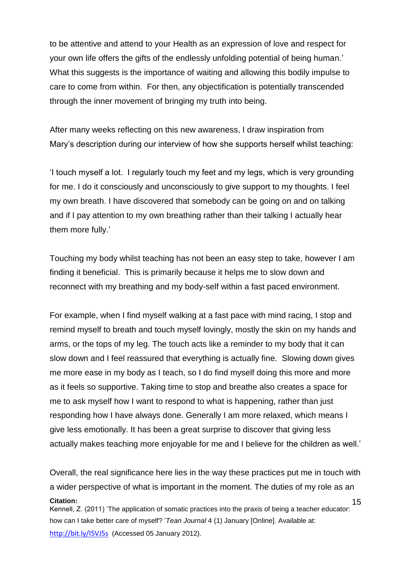to be attentive and attend to your Health as an expression of love and respect for your own life offers the gifts of the endlessly unfolding potential of being human.' What this suggests is the importance of waiting and allowing this bodily impulse to care to come from within. For then, any objectification is potentially transcended through the inner movement of bringing my truth into being.

After many weeks reflecting on this new awareness, I draw inspiration from Mary's description during our interview of how she supports herself whilst teaching:

'I touch myself a lot. I regularly touch my feet and my legs, which is very grounding for me. I do it consciously and unconsciously to give support to my thoughts. I feel my own breath. I have discovered that somebody can be going on and on talking and if I pay attention to my own breathing rather than their talking I actually hear them more fully.'

Touching my body whilst teaching has not been an easy step to take, however I am finding it beneficial. This is primarily because it helps me to slow down and reconnect with my breathing and my body-self within a fast paced environment.

For example, when I find myself walking at a fast pace with mind racing, I stop and remind myself to breath and touch myself lovingly, mostly the skin on my hands and arms, or the tops of my leg. The touch acts like a reminder to my body that it can slow down and I feel reassured that everything is actually fine. Slowing down gives me more ease in my body as I teach, so I do find myself doing this more and more as it feels so supportive. Taking time to stop and breathe also creates a space for me to ask myself how I want to respond to what is happening, rather than just responding how I have always done. Generally I am more relaxed, which means I give less emotionally. It has been a great surprise to discover that giving less actually makes teaching more enjoyable for me and I believe for the children as well.'

**Citation:** Kennell, Z. (2011) 'The application of somatic practices into the praxis of being a teacher educator: how can I take better care of myself? '*Tean Journal* 4 (1) January [Online]. Available at: 15 Overall, the real significance here lies in the way these practices put me in touch with a wider perspective of what is important in the moment. The duties of my role as an

http://bit.ly/I5VJ5s (Accessed 05 January 2012).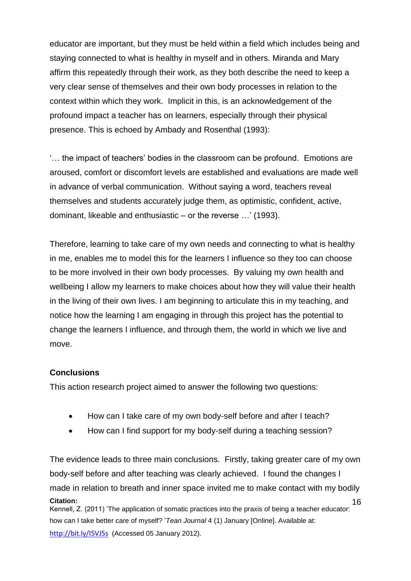educator are important, but they must be held within a field which includes being and staying connected to what is healthy in myself and in others. Miranda and Mary affirm this repeatedly through their work, as they both describe the need to keep a very clear sense of themselves and their own body processes in relation to the context within which they work. Implicit in this, is an acknowledgement of the profound impact a teacher has on learners, especially through their physical presence. This is echoed by Ambady and Rosenthal (1993):

'… the impact of teachers' bodies in the classroom can be profound. Emotions are aroused, comfort or discomfort levels are established and evaluations are made well in advance of verbal communication. Without saying a word, teachers reveal themselves and students accurately judge them, as optimistic, confident, active, dominant, likeable and enthusiastic – or the reverse …' (1993).

Therefore, learning to take care of my own needs and connecting to what is healthy in me, enables me to model this for the learners I influence so they too can choose to be more involved in their own body processes. By valuing my own health and wellbeing I allow my learners to make choices about how they will value their health in the living of their own lives. I am beginning to articulate this in my teaching, and notice how the learning I am engaging in through this project has the potential to change the learners I influence, and through them, the world in which we live and move.

# **Conclusions**

This action research project aimed to answer the following two questions:

- How can I take care of my own body-self before and after I teach?
- How can I find support for my body-self during a teaching session?

**Citation:** Kennell, Z. (2011) 'The application of somatic practices into the praxis of being a teacher educator: 16 The evidence leads to three main conclusions. Firstly, taking greater care of my own body-self before and after teaching was clearly achieved. I found the changes I made in relation to breath and inner space invited me to make contact with my bodily

how can I take better care of myself? '*Tean Journal* 4 (1) January [Online]. Available at: http://bit.ly/I5VJ5s (Accessed 05 January 2012).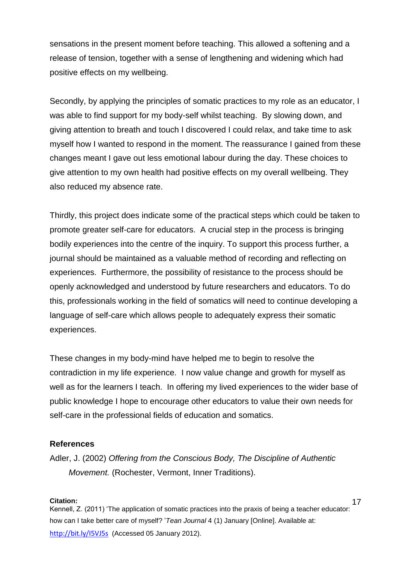sensations in the present moment before teaching. This allowed a softening and a release of tension, together with a sense of lengthening and widening which had positive effects on my wellbeing.

Secondly, by applying the principles of somatic practices to my role as an educator, I was able to find support for my body-self whilst teaching. By slowing down, and giving attention to breath and touch I discovered I could relax, and take time to ask myself how I wanted to respond in the moment. The reassurance I gained from these changes meant I gave out less emotional labour during the day. These choices to give attention to my own health had positive effects on my overall wellbeing. They also reduced my absence rate.

Thirdly, this project does indicate some of the practical steps which could be taken to promote greater self-care for educators. A crucial step in the process is bringing bodily experiences into the centre of the inquiry. To support this process further, a journal should be maintained as a valuable method of recording and reflecting on experiences. Furthermore, the possibility of resistance to the process should be openly acknowledged and understood by future researchers and educators. To do this, professionals working in the field of somatics will need to continue developing a language of self-care which allows people to adequately express their somatic experiences.

These changes in my body-mind have helped me to begin to resolve the contradiction in my life experience. I now value change and growth for myself as well as for the learners I teach. In offering my lived experiences to the wider base of public knowledge I hope to encourage other educators to value their own needs for self-care in the professional fields of education and somatics.

### **References**

Adler, J. (2002) *Offering from the Conscious Body, The Discipline of Authentic Movement.* (Rochester, Vermont, Inner Traditions).

#### **Citation:**

Kennell, Z. (2011) 'The application of somatic practices into the praxis of being a teacher educator: how can I take better care of myself? '*Tean Journal* 4 (1) January [Online]. Available at: http://bit.ly/I5VJ5s (Accessed 05 January 2012).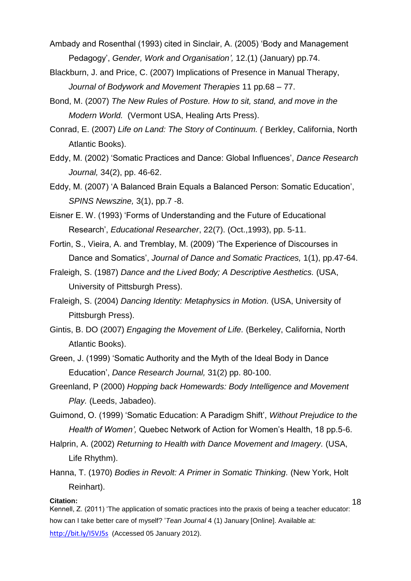- Ambady and Rosenthal (1993) cited in Sinclair, A. (2005) 'Body and Management Pedagogy', *Gender, Work and Organisation',* 12.(1) (January) pp.74.
- Blackburn, J. and Price, C. (2007) Implications of Presence in Manual Therapy, *Journal of Bodywork and Movement Therapies* 11 pp.68 – 77.
- Bond, M. (2007) *The New Rules of Posture. How to sit, stand, and move in the Modern World.* (Vermont USA, Healing Arts Press).
- Conrad, E. (2007) *Life on Land: The Story of Continuum. (* Berkley, California, North Atlantic Books).
- Eddy, M. (2002) 'Somatic Practices and Dance: Global Influences', *Dance Research Journal,* 34(2), pp. 46-62.
- Eddy, M. (2007) 'A Balanced Brain Equals a Balanced Person: Somatic Education', *SPINS Newszine,* 3(1), pp.7 -8.
- Eisner E. W. (1993) 'Forms of Understanding and the Future of Educational Research', *Educational Researcher*, 22(7). (Oct.,1993), pp. 5-11.
- Fortin, S., Vieira, A. and Tremblay, M. (2009) 'The Experience of Discourses in Dance and Somatics', *Journal of Dance and Somatic Practices,* 1(1), pp.47-64.
- Fraleigh, S. (1987) *Dance and the Lived Body; A Descriptive Aesthetics.* (USA, University of Pittsburgh Press).
- Fraleigh, S. (2004) *Dancing Identity: Metaphysics in Motion.* (USA, University of Pittsburgh Press).
- Gintis, B. DO (2007) *Engaging the Movement of Life.* (Berkeley, California, North Atlantic Books).
- Green, J. (1999) 'Somatic Authority and the Myth of the Ideal Body in Dance Education', *Dance Research Journal,* 31(2) pp. 80-100.
- Greenland, P (2000) *Hopping back Homewards: Body Intelligence and Movement Play.* (Leeds, Jabadeo).
- Guimond, O. (1999) 'Somatic Education: A Paradigm Shift', *Without Prejudice to the Health of Women',* Quebec Network of Action for Women's Health, 18 pp.5-6.
- Halprin, A. (2002) *Returning to Health with Dance Movement and Imagery.* (USA, Life Rhythm).
- Hanna, T. (1970) *Bodies in Revolt: A Primer in Somatic Thinking.* (New York, Holt Reinhart).

#### **Citation:**

18

Kennell, Z. (2011) 'The application of somatic practices into the praxis of being a teacher educator: how can I take better care of myself? '*Tean Journal* 4 (1) January [Online]. Available at:

http://bit.ly/I5VJ5s (Accessed 05 January 2012).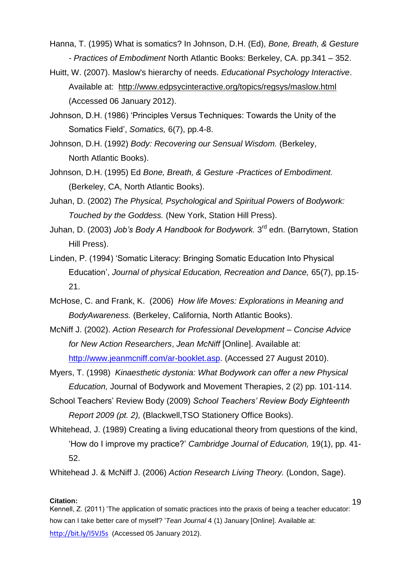Hanna, T. (1995) What is somatics? In Johnson, D.H. (Ed), *Bone, Breath, & Gesture - Practices of Embodiment* North Atlantic Books: Berkeley, CA. pp.341 – 352.

Huitt, W. (2007). Maslow's hierarchy of needs. *Educational Psychology Interactive*. Available at: <http://www.edpsycinteractive.org/topics/regsys/maslow.html> (Accessed 06 January 2012).

Johnson, D.H. (1986) 'Principles Versus Techniques: Towards the Unity of the Somatics Field', *Somatics,* 6(7), pp.4-8.

Johnson, D.H. (1992) *Body: Recovering our Sensual Wisdom.* (Berkeley, North Atlantic Books).

Johnson, D.H. (1995) Ed *Bone, Breath, & Gesture -Practices of Embodiment.* (Berkeley, CA, North Atlantic Books).

- Juhan, D. (2002) *The Physical, Psychological and Spiritual Powers of Bodywork: Touched by the Goddess.* (New York, Station Hill Press).
- Juhan, D. (2003) *Job's Body A Handbook for Bodywork.* 3 rd edn. (Barrytown, Station Hill Press).
- Linden, P. (1994) 'Somatic Literacy: Bringing Somatic Education Into Physical Education', *Journal of physical Education, Recreation and Dance,* 65(7), pp.15- 21.
- McHose, C. and Frank, K. (2006) *How life Moves: Explorations in Meaning and BodyAwareness.* (Berkeley, California, North Atlantic Books).
- McNiff J. (2002). *Action Research for Professional Development – Concise Advice for New Action Researchers*, *Jean McNiff* [Online]. Available at: [http://www.jeanmcniff.com/ar-booklet.asp.](http://www.jeanmcniff.com/ar-booklet.asp) (Accessed 27 August 2010).
- Myers, T. (1998) *Kinaesthetic dystonia: What Bodywork can offer a new Physical Education,* Journal of Bodywork and Movement Therapies, 2 (2) pp. 101-114.
- School Teachers' Review Body (2009) *School Teachers' Review Body Eighteenth Report 2009 (pt. 2),* (Blackwell,TSO Stationery Office Books).
- Whitehead, J. (1989) Creating a living educational theory from questions of the kind, 'How do I improve my practice?' *Cambridge Journal of Education,* 19(1), pp. 41- 52.

Whitehead J. & McNiff J. (2006) *Action Research Living Theory.* (London, Sage).

#### **Citation:**

Kennell, Z. (2011) 'The application of somatic practices into the praxis of being a teacher educator: how can I take better care of myself? '*Tean Journal* 4 (1) January [Online]. Available at: http://bit.ly/I5VJ5s (Accessed 05 January 2012).